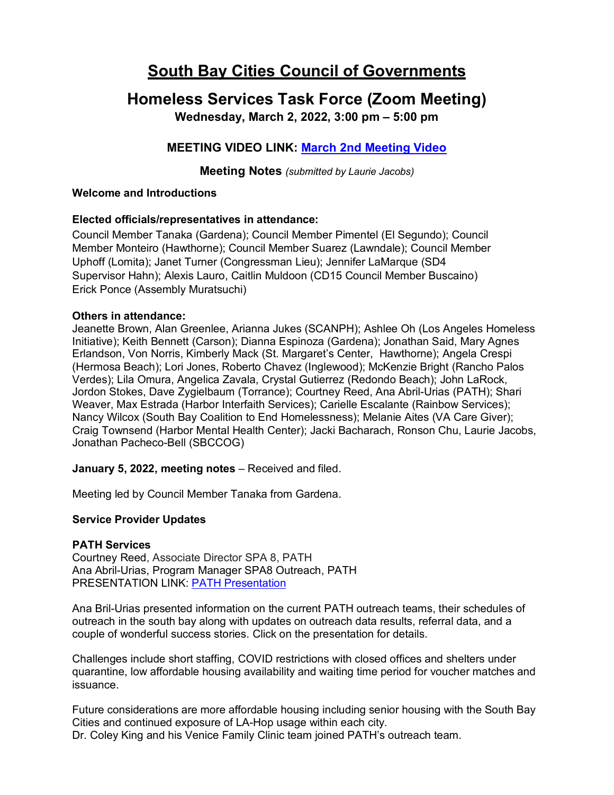# **South Bay Cities Council of Governments**

## **Homeless Services Task Force (Zoom Meeting)**

**Wednesday, March 2, 2022, 3:00 pm – 5:00 pm**

### **MEETING VIDEO LINK: [March 2nd Meeting Video](https://www.youtube.com/watch?v=QzoMuWj6xBM)**

**Meeting Notes** *(submitted by Laurie Jacobs)*

#### **Welcome and Introductions**

#### **Elected officials/representatives in attendance:**

Council Member Tanaka (Gardena); Council Member Pimentel (El Segundo); Council Member Monteiro (Hawthorne); Council Member Suarez (Lawndale); Council Member Uphoff (Lomita); Janet Turner (Congressman Lieu); Jennifer LaMarque (SD4 Supervisor Hahn); Alexis Lauro, Caitlin Muldoon (CD15 Council Member Buscaino) Erick Ponce (Assembly Muratsuchi)

#### **Others in attendance:**

Jeanette Brown, Alan Greenlee, Arianna Jukes (SCANPH); Ashlee Oh (Los Angeles Homeless Initiative); Keith Bennett (Carson); Dianna Espinoza (Gardena); Jonathan Said, Mary Agnes Erlandson, Von Norris, Kimberly Mack (St. Margaret's Center, Hawthorne); Angela Crespi (Hermosa Beach); Lori Jones, Roberto Chavez (Inglewood); McKenzie Bright (Rancho Palos Verdes); Lila Omura, Angelica Zavala, Crystal Gutierrez (Redondo Beach); John LaRock, Jordon Stokes, Dave Zygielbaum (Torrance); Courtney Reed, Ana Abril-Urias (PATH); Shari Weaver, Max Estrada (Harbor Interfaith Services); Carielle Escalante (Rainbow Services); Nancy Wilcox (South Bay Coalition to End Homelessness); Melanie Aites (VA Care Giver); Craig Townsend (Harbor Mental Health Center); Jacki Bacharach, Ronson Chu, Laurie Jacobs, Jonathan Pacheco-Bell (SBCCOG)

**January 5, 2022, meeting notes** – Received and filed.

Meeting led by Council Member Tanaka from Gardena.

#### **Service Provider Updates**

#### **PATH Services**

Courtney Reed, Associate Director SPA 8, PATH Ana Abril-Urias, Program Manager SPA8 Outreach, PATH PRESENTATION LINK: [PATH Presentation](https://southbaycities.org/wp-content/uploads/2022/01/PATH-Presentation-to-SBCCOG-March-2022.pdf)

Ana Bril-Urias presented information on the current PATH outreach teams, their schedules of outreach in the south bay along with updates on outreach data results, referral data, and a couple of wonderful success stories. Click on the presentation for details.

Challenges include short staffing, COVID restrictions with closed offices and shelters under quarantine, low affordable housing availability and waiting time period for voucher matches and issuance.

Future considerations are more affordable housing including senior housing with the South Bay Cities and continued exposure of LA-Hop usage within each city. Dr. Coley King and his Venice Family Clinic team joined PATH's outreach team.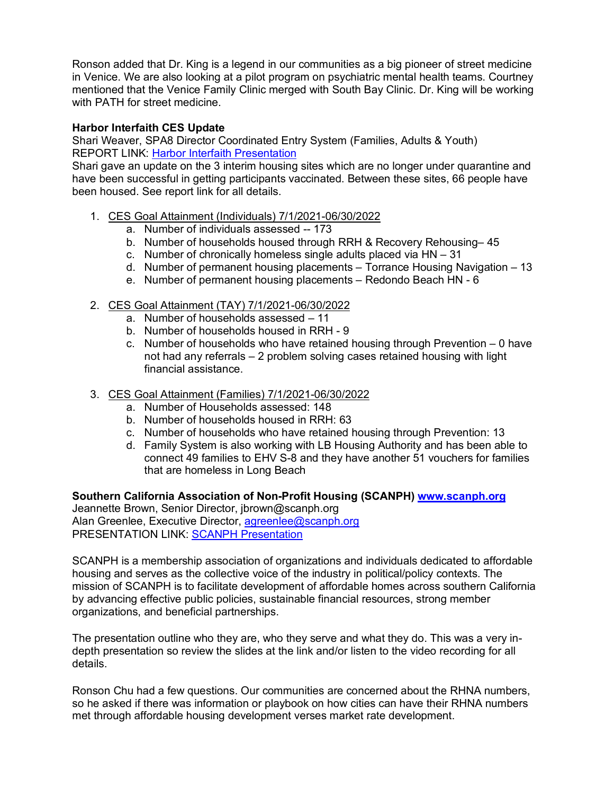Ronson added that Dr. King is a legend in our communities as a big pioneer of street medicine in Venice. We are also looking at a pilot program on psychiatric mental health teams. Courtney mentioned that the Venice Family Clinic merged with South Bay Clinic. Dr. King will be working with PATH for street medicine.

#### **Harbor Interfaith CES Update**

Shari Weaver, SPA8 Director Coordinated Entry System (Families, Adults & Youth) REPORT LINK: [Harbor Interfaith Presentation](https://southbaycities.org/wp-content/uploads/2022/01/Harbor-Interfaith-SBCCOG-Report-Out-3-3-22.pdf)

Shari gave an update on the 3 interim housing sites which are no longer under quarantine and have been successful in getting participants vaccinated. Between these sites, 66 people have been housed. See report link for all details.

- 1. CES Goal Attainment (Individuals) 7/1/2021-06/30/2022
	- a. Number of individuals assessed -- 173
	- b. Number of households housed through RRH & Recovery Rehousing– 45
	- c. Number of chronically homeless single adults placed via HN 31
	- d. Number of permanent housing placements Torrance Housing Navigation 13
	- e. Number of permanent housing placements Redondo Beach HN 6
- 2. CES Goal Attainment (TAY) 7/1/2021-06/30/2022
	- a. Number of households assessed 11
	- b. Number of households housed in RRH 9
	- c. Number of households who have retained housing through Prevention 0 have not had any referrals – 2 problem solving cases retained housing with light financial assistance.
- 3. CES Goal Attainment (Families) 7/1/2021-06/30/2022
	- a. Number of Households assessed: 148
	- b. Number of households housed in RRH: 63
	- c. Number of households who have retained housing through Prevention: 13
	- d. Family System is also working with LB Housing Authority and has been able to connect 49 families to EHV S-8 and they have another 51 vouchers for families that are homeless in Long Beach

**Southern California Association of Non-Profit Housing (SCANPH) [www.scanph.org](http://www.scanph.org/)** Jeannette Brown, Senior Director, jbrown@scanph.org Alan Greenlee, Executive Director, [agreenlee@scanph.org](mailto:agreenlee@scanph.org) PRESENTATION LINK: [SCANPH Presentation](https://southbaycities.org/wp-content/uploads/2022/01/SCANPH-COG-Presentation-Final.pdf)

SCANPH is a membership association of organizations and individuals dedicated to affordable housing and serves as the collective voice of the industry in political/policy contexts. The mission of SCANPH is to facilitate development of affordable homes across southern California by advancing effective public policies, sustainable financial resources, strong member organizations, and beneficial partnerships.

The presentation outline who they are, who they serve and what they do. This was a very indepth presentation so review the slides at the link and/or listen to the video recording for all details.

Ronson Chu had a few questions. Our communities are concerned about the RHNA numbers, so he asked if there was information or playbook on how cities can have their RHNA numbers met through affordable housing development verses market rate development.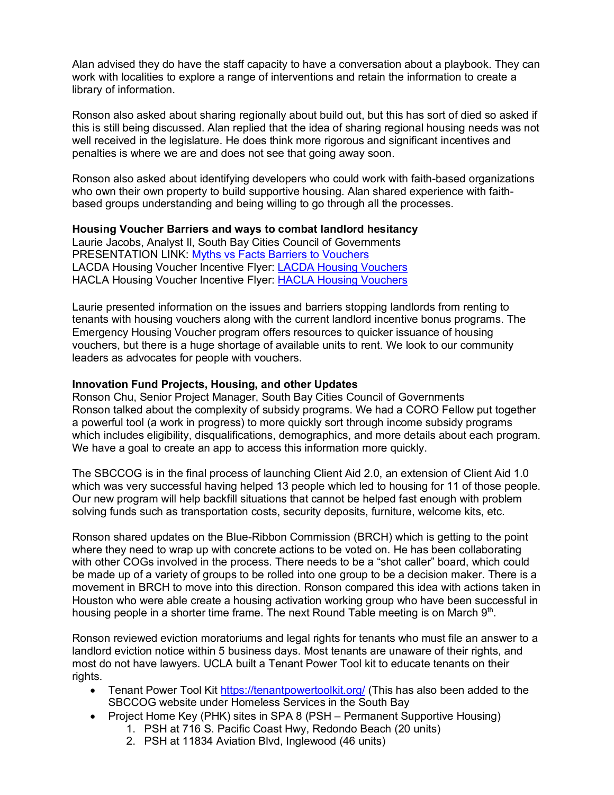Alan advised they do have the staff capacity to have a conversation about a playbook. They can work with localities to explore a range of interventions and retain the information to create a library of information.

Ronson also asked about sharing regionally about build out, but this has sort of died so asked if this is still being discussed. Alan replied that the idea of sharing regional housing needs was not well received in the legislature. He does think more rigorous and significant incentives and penalties is where we are and does not see that going away soon.

Ronson also asked about identifying developers who could work with faith-based organizations who own their own property to build supportive housing. Alan shared experience with faithbased groups understanding and being willing to go through all the processes.

#### **Housing Voucher Barriers and ways to combat landlord hesitancy**

Laurie Jacobs, Analyst Il, South Bay Cities Council of Governments PRESENTATION LINK: [Myths vs Facts Barriers to Vouchers](https://southbaycities.org/wp-content/uploads/2022/01/Myths-vs-Facts-Barriers-to-Vouchers.pdf) LACDA Housing Voucher Incentive Flyer: [LACDA Housing Vouchers](https://www.lacda.org/docs/librariesprovider25/section-8-program/ehv/final---ehv-flyer.pdf?sfvrsn=f06763bc_2) HACLA Housing Voucher Incentive Flyer: [HACLA Housing Vouchers](https://www.hacla.org/sites/default/files/EHV%20Flyers/2021-ehv-flyer-en-13.pdf)

Laurie presented information on the issues and barriers stopping landlords from renting to tenants with housing vouchers along with the current landlord incentive bonus programs. The Emergency Housing Voucher program offers resources to quicker issuance of housing vouchers, but there is a huge shortage of available units to rent. We look to our community leaders as advocates for people with vouchers.

#### **Innovation Fund Projects, Housing, and other Updates**

Ronson Chu, Senior Project Manager, South Bay Cities Council of Governments Ronson talked about the complexity of subsidy programs. We had a CORO Fellow put together a powerful tool (a work in progress) to more quickly sort through income subsidy programs which includes eligibility, disqualifications, demographics, and more details about each program. We have a goal to create an app to access this information more quickly.

The SBCCOG is in the final process of launching Client Aid 2.0, an extension of Client Aid 1.0 which was very successful having helped 13 people which led to housing for 11 of those people. Our new program will help backfill situations that cannot be helped fast enough with problem solving funds such as transportation costs, security deposits, furniture, welcome kits, etc.

Ronson shared updates on the Blue-Ribbon Commission (BRCH) which is getting to the point where they need to wrap up with concrete actions to be voted on. He has been collaborating with other COGs involved in the process. There needs to be a "shot caller" board, which could be made up of a variety of groups to be rolled into one group to be a decision maker. There is a movement in BRCH to move into this direction. Ronson compared this idea with actions taken in Houston who were able create a housing activation working group who have been successful in housing people in a shorter time frame. The next Round Table meeting is on March 9th.

Ronson reviewed eviction moratoriums and legal rights for tenants who must file an answer to a landlord eviction notice within 5 business days. Most tenants are unaware of their rights, and most do not have lawyers. UCLA built a Tenant Power Tool kit to educate tenants on their rights.

- Tenant Power Tool Kit<https://tenantpowertoolkit.org/> (This has also been added to the SBCCOG website under Homeless Services in the South Bay
- Project Home Key (PHK) sites in SPA 8 (PSH Permanent Supportive Housing)
	- 1. PSH at 716 S. Pacific Coast Hwy, Redondo Beach (20 units)
	- 2. PSH at 11834 Aviation Blvd, Inglewood (46 units)